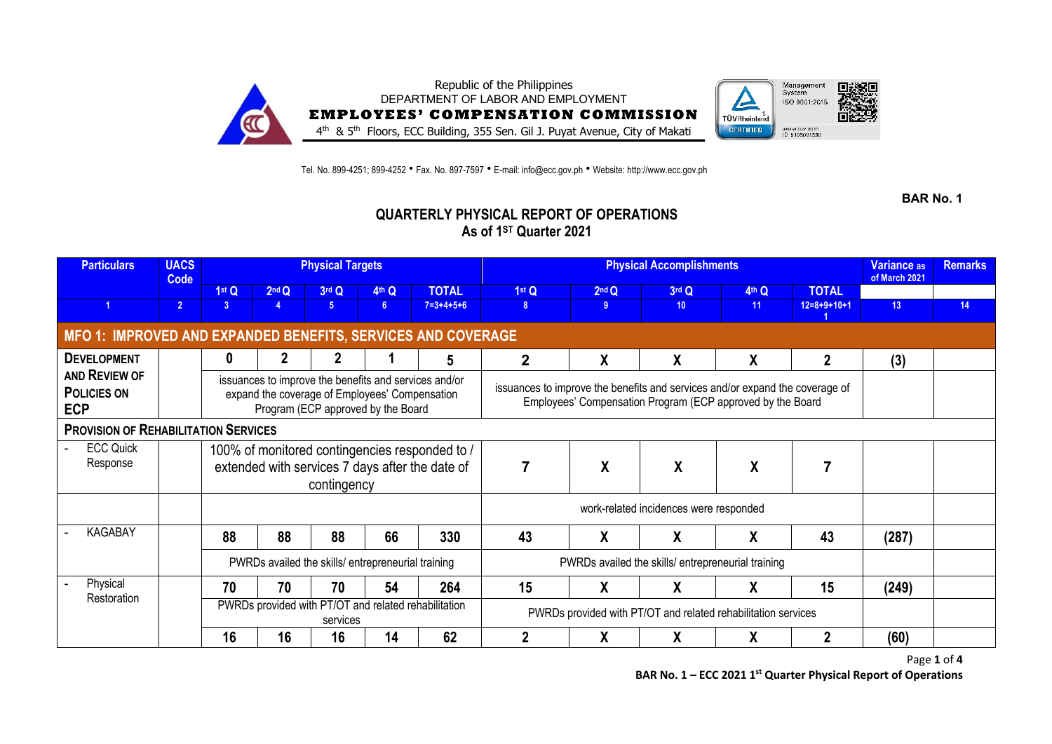

Tel. No. 899-4251; 899-4252 • Fax. No. 897-7597 • E-mail: info@ecc.gov.ph • Website: http://www.ecc.gov.ph

**BAR No. 1**

## **QUARTERLY PHYSICAL REPORT OF OPERATIONS As of 1ST Quarter 2021**

| <b>Particulars</b>                                           | <b>UACS</b><br>Code |                |                                                   | <b>Physical Targets</b>                                                                                                                       |                |                                                                                                   |                                                                                                                                            | Variance <sub>as</sub><br>of March 2021           | <b>Remarks</b> |       |                |                 |    |
|--------------------------------------------------------------|---------------------|----------------|---------------------------------------------------|-----------------------------------------------------------------------------------------------------------------------------------------------|----------------|---------------------------------------------------------------------------------------------------|--------------------------------------------------------------------------------------------------------------------------------------------|---------------------------------------------------|----------------|-------|----------------|-----------------|----|
|                                                              |                     | 1stQ           | 2 <sup>nd</sup> Q                                 | 3rd Q                                                                                                                                         | 4th Q          | <b>TOTAL</b>                                                                                      | 1 <sup>st</sup> Q                                                                                                                          | 2 <sup>nd</sup> Q                                 | 3rd Q          | 4th Q | <b>TOTAL</b>   |                 |    |
|                                                              | 2 <sup>1</sup>      | 3 <sup>1</sup> | 4                                                 | 5 <sup>1</sup>                                                                                                                                | 6 <sup>5</sup> | $7=3+4+5+6$                                                                                       | 8 <sup>1</sup>                                                                                                                             | 9                                                 | 10             | 11    | $12=8+9+10+1$  | 13 <sup>°</sup> | 14 |
| MFO 1: IMPROVED AND EXPANDED BENEFITS, SERVICES AND COVERAGE |                     |                |                                                   |                                                                                                                                               |                |                                                                                                   |                                                                                                                                            |                                                   |                |       |                |                 |    |
| <b>DEVELOPMENT</b>                                           |                     | $\bf{0}$       |                                                   |                                                                                                                                               |                | 5                                                                                                 | $\overline{2}$                                                                                                                             | X                                                 | χ              | X     | $\overline{2}$ | (3)             |    |
| <b>AND REVIEW OF</b><br><b>POLICIES ON</b><br><b>ECP</b>     |                     |                |                                                   | issuances to improve the benefits and services and/or<br>expand the coverage of Employees' Compensation<br>Program (ECP approved by the Board |                |                                                                                                   | issuances to improve the benefits and services and/or expand the coverage of<br>Employees' Compensation Program (ECP approved by the Board |                                                   |                |       |                |                 |    |
| <b>PROVISION OF REHABILITATION SERVICES</b>                  |                     |                |                                                   |                                                                                                                                               |                |                                                                                                   |                                                                                                                                            |                                                   |                |       |                |                 |    |
| <b>ECC Quick</b><br>Response                                 |                     |                |                                                   | contingency                                                                                                                                   |                | 100% of monitored contingencies responded to /<br>extended with services 7 days after the date of | 7                                                                                                                                          | $\boldsymbol{\mathsf{X}}$                         | X              | X     |                |                 |    |
|                                                              |                     |                |                                                   |                                                                                                                                               |                |                                                                                                   |                                                                                                                                            |                                                   |                |       |                |                 |    |
| <b>KAGABAY</b>                                               |                     | 88             | 88                                                | 88                                                                                                                                            | 66             | 330                                                                                               | 43                                                                                                                                         | X                                                 | Χ              | χ     | 43             | (287)           |    |
|                                                              |                     |                | PWRDs availed the skills/entrepreneurial training |                                                                                                                                               |                |                                                                                                   |                                                                                                                                            | PWRDs availed the skills/entrepreneurial training |                |       |                |                 |    |
| Physical                                                     |                     | 70             | 70                                                | 70                                                                                                                                            | 54             | 264                                                                                               | 15                                                                                                                                         | X                                                 | X              | X     | 15             | (249)           |    |
| Restoration                                                  |                     |                |                                                   | PWRDs provided with PT/OT and related rehabilitation<br>services                                                                              |                |                                                                                                   | PWRDs provided with PT/OT and related rehabilitation services                                                                              |                                                   |                |       |                |                 |    |
|                                                              |                     | 16             | 16                                                | 16                                                                                                                                            | 14             | 62                                                                                                | 2                                                                                                                                          | χ                                                 | χ              | χ     | 2              | (60)            |    |

Page **1** of **4 BAR No. 1 – ECC 2021 1st Quarter Physical Report of Operations**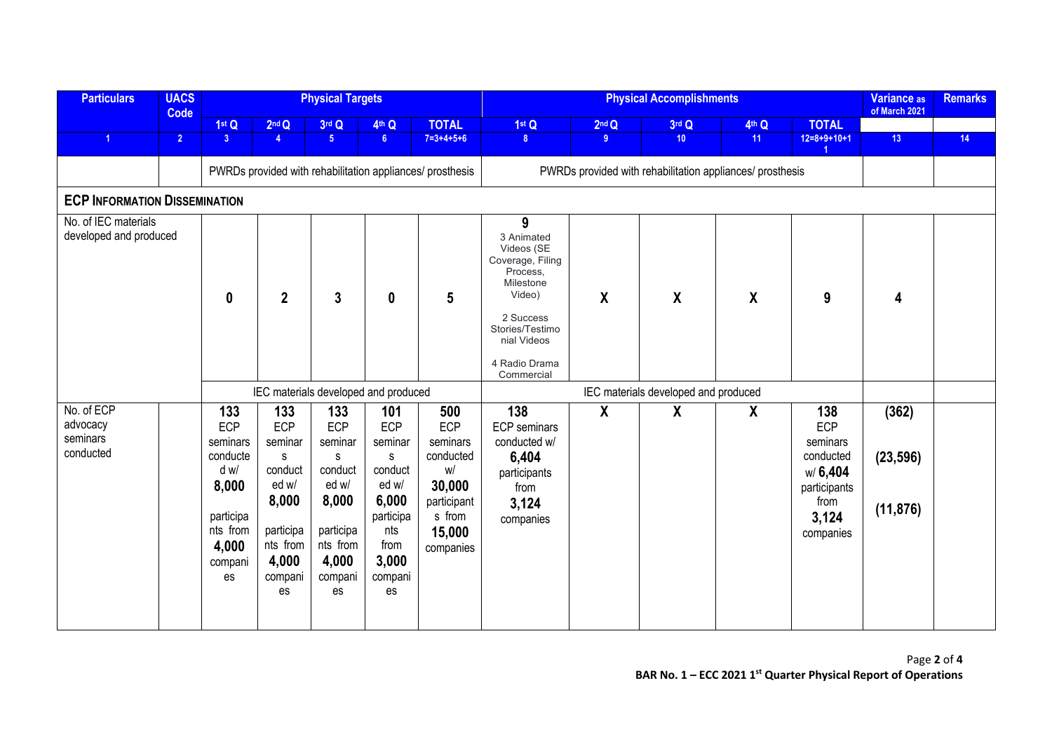| <b>Particulars</b>                              | <b>UACS</b><br>Code |                                                                                                        |                                                                                                            | <b>Physical Targets</b>                                                                                    |                                                                                                                                 |                                                                                                     |                                                                                                                                                                    | Variance as<br>of March 2021 | <b>Remarks</b>                                            |                  |                                                                                              |                                 |    |
|-------------------------------------------------|---------------------|--------------------------------------------------------------------------------------------------------|------------------------------------------------------------------------------------------------------------|------------------------------------------------------------------------------------------------------------|---------------------------------------------------------------------------------------------------------------------------------|-----------------------------------------------------------------------------------------------------|--------------------------------------------------------------------------------------------------------------------------------------------------------------------|------------------------------|-----------------------------------------------------------|------------------|----------------------------------------------------------------------------------------------|---------------------------------|----|
|                                                 |                     | 1st Q                                                                                                  | 2 <sup>nd</sup> Q                                                                                          | 3rd Q                                                                                                      | 4th Q                                                                                                                           | <b>TOTAL</b>                                                                                        | 1st Q                                                                                                                                                              | 2 <sup>nd</sup> Q            | 3rd Q                                                     | 4th Q            | <b>TOTAL</b>                                                                                 |                                 |    |
| $\blacktriangleleft$                            | $\overline{2}$      | 3 <sup>7</sup>                                                                                         | $\overline{4}$                                                                                             | 5 <sub>1</sub>                                                                                             | 6 <sup>1</sup>                                                                                                                  | $7=3+4+5+6$                                                                                         | 8 <sup>7</sup>                                                                                                                                                     | 9 <sup>°</sup>               | 10                                                        | 11               | $12=8+9+10+1$                                                                                | 13                              | 14 |
|                                                 |                     |                                                                                                        |                                                                                                            |                                                                                                            |                                                                                                                                 | PWRDs provided with rehabilitation appliances/ prosthesis                                           |                                                                                                                                                                    |                              | PWRDs provided with rehabilitation appliances/ prosthesis |                  |                                                                                              |                                 |    |
| <b>ECP INFORMATION DISSEMINATION</b>            |                     |                                                                                                        |                                                                                                            |                                                                                                            |                                                                                                                                 |                                                                                                     |                                                                                                                                                                    |                              |                                                           |                  |                                                                                              |                                 |    |
| No. of IEC materials<br>developed and produced  |                     | $\mathbf{0}$                                                                                           | $\overline{2}$                                                                                             | $\mathbf{3}$                                                                                               | $\boldsymbol{0}$                                                                                                                | $5\phantom{.0}$                                                                                     | 9<br>3 Animated<br>Videos (SE<br>Coverage, Filing<br>Process.<br>Milestone<br>Video)<br>2 Success<br>Stories/Testimo<br>nial Videos<br>4 Radio Drama<br>Commercial | $\boldsymbol{X}$             | $\boldsymbol{X}$                                          | $\boldsymbol{X}$ | 9                                                                                            | 4                               |    |
|                                                 |                     |                                                                                                        |                                                                                                            |                                                                                                            | IEC materials developed and produced                                                                                            |                                                                                                     |                                                                                                                                                                    |                              |                                                           |                  |                                                                                              |                                 |    |
| No. of ECP<br>advocacy<br>seminars<br>conducted |                     | 133<br>ECP<br>seminars<br>conducte<br>d w/<br>8,000<br>participa<br>nts from<br>4,000<br>compani<br>es | 133<br>ECP<br>seminar<br>s<br>conduct<br>ed w/<br>8,000<br>participa<br>nts from<br>4,000<br>compani<br>es | 133<br>ECP<br>seminar<br>s<br>conduct<br>ed w/<br>8,000<br>participa<br>nts from<br>4,000<br>compani<br>es | 101<br><b>ECP</b><br>seminar<br>$\mathbf{s}$<br>conduct<br>ed w/<br>6,000<br>participa<br>nts<br>from<br>3,000<br>compani<br>es | 500<br>ECP<br>seminars<br>conducted<br>W/<br>30,000<br>participant<br>s from<br>15,000<br>companies | 138<br>ECP seminars<br>conducted w/<br>6,404<br>participants<br>from<br>3,124<br>companies                                                                         | $\boldsymbol{X}$             | $\boldsymbol{X}$                                          | $\boldsymbol{X}$ | 138<br>ECP<br>seminars<br>conducted<br>w/6,404<br>participants<br>from<br>3,124<br>companies | (362)<br>(23, 596)<br>(11, 876) |    |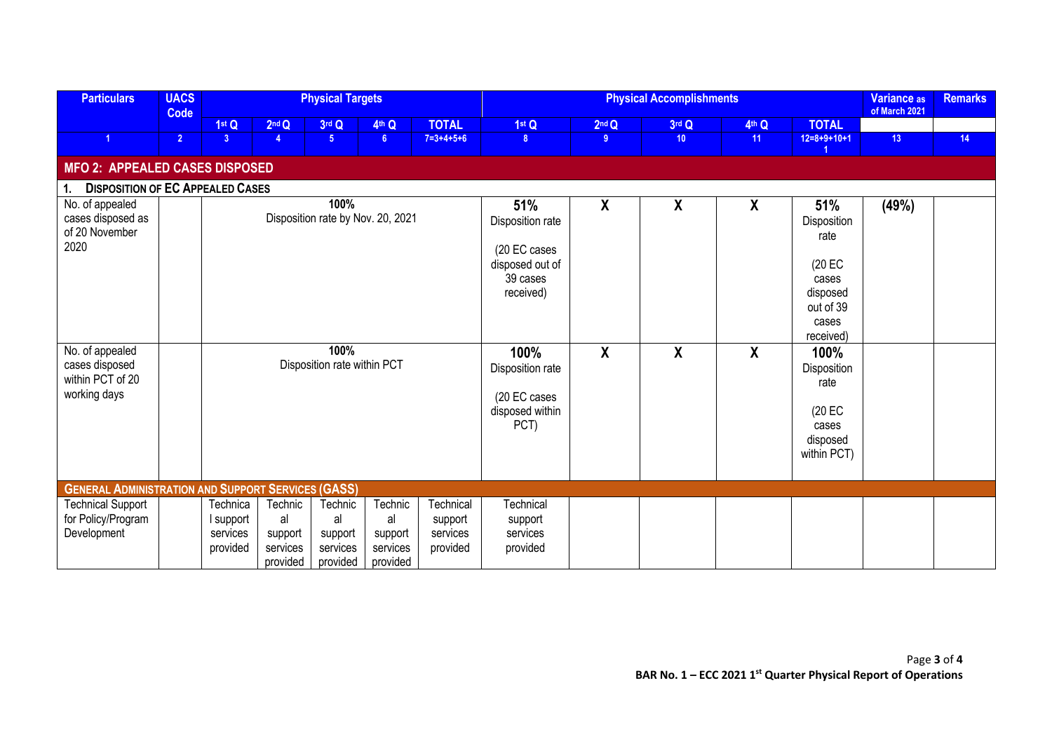| <b>Particulars</b>                                                    | <b>UACS</b><br>Code                       |                                               |                                                  | <b>Physical Targets</b>                          |                                                  |                                                                                     |                                                                     | <b>Physical Accomplishments</b> |                  |                                                                                              |                                                                              |               |    |  |
|-----------------------------------------------------------------------|-------------------------------------------|-----------------------------------------------|--------------------------------------------------|--------------------------------------------------|--------------------------------------------------|-------------------------------------------------------------------------------------|---------------------------------------------------------------------|---------------------------------|------------------|----------------------------------------------------------------------------------------------|------------------------------------------------------------------------------|---------------|----|--|
|                                                                       |                                           | 1st Q                                         | 2 <sup>nd</sup> Q                                | 3rd Q                                            | 4th Q                                            | <b>TOTAL</b>                                                                        | 1stQ                                                                | 2 <sup>nd</sup> Q               | 3rd Q            | 4th Q                                                                                        | <b>TOTAL</b>                                                                 | of March 2021 |    |  |
| 1                                                                     | $\overline{2}$                            | 3 <sup>1</sup>                                | $\overline{4}$                                   | 5 <sup>1</sup>                                   | 6 <sup>1</sup>                                   | $7 = 3 + 4 + 5 + 6$                                                                 | 8                                                                   | 9                               | 10 <sup>°</sup>  | 11                                                                                           | $12=8+9+10+1$                                                                | 13            | 14 |  |
| MFO 2: APPEALED CASES DISPOSED                                        |                                           |                                               |                                                  |                                                  |                                                  |                                                                                     |                                                                     |                                 |                  |                                                                                              |                                                                              |               |    |  |
| <b>DISPOSITION OF EC APPEALED CASES</b><br>1.                         |                                           |                                               |                                                  |                                                  |                                                  |                                                                                     |                                                                     |                                 |                  |                                                                                              |                                                                              |               |    |  |
| No. of appealed<br>cases disposed as<br>of 20 November<br>2020        | 100%<br>Disposition rate by Nov. 20, 2021 |                                               |                                                  |                                                  |                                                  | 51%<br>Disposition rate<br>(20 EC cases<br>disposed out of<br>39 cases<br>received) | $\boldsymbol{\mathsf{X}}$                                           | $\boldsymbol{X}$                | $\boldsymbol{X}$ | 51%<br>Disposition<br>rate<br>(20 EC<br>cases<br>disposed<br>out of 39<br>cases<br>received) | (49%)                                                                        |               |    |  |
| No. of appealed<br>cases disposed<br>within PCT of 20<br>working days |                                           |                                               |                                                  | 100%<br>Disposition rate within PCT              |                                                  |                                                                                     | 100%<br>Disposition rate<br>(20 EC cases<br>disposed within<br>PCT) | $\boldsymbol{\mathsf{X}}$       | $\boldsymbol{X}$ | $\boldsymbol{X}$                                                                             | 100%<br>Disposition<br>rate<br>$(20)$ EC<br>cases<br>disposed<br>within PCT) |               |    |  |
| <b>GENERAL ADMINISTRATION AND SUPPORT SERVICES (GASS)</b>             |                                           |                                               |                                                  |                                                  |                                                  |                                                                                     |                                                                     |                                 |                  |                                                                                              |                                                                              |               |    |  |
| <b>Technical Support</b><br>for Policy/Program<br>Development         |                                           | Technica<br>I support<br>services<br>provided | Technic<br>al<br>support<br>services<br>provided | Technic<br>al<br>support<br>services<br>provided | Technic<br>al<br>support<br>services<br>provided | Technical<br>support<br>services<br>provided                                        | <b>Technical</b><br>support<br>services<br>provided                 |                                 |                  |                                                                                              |                                                                              |               |    |  |